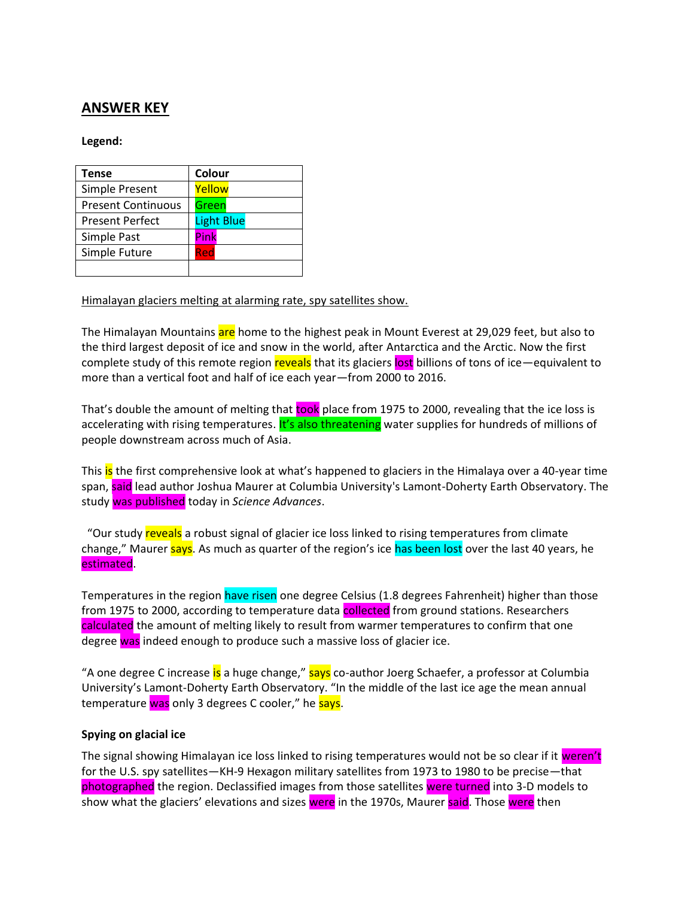# **ANSWER KEY**

## **Legend:**

| <b>Tense</b>              | Colour            |
|---------------------------|-------------------|
| Simple Present            | Yellow            |
| <b>Present Continuous</b> | Green             |
| <b>Present Perfect</b>    | <b>Light Blue</b> |
| Simple Past               | Pink              |
| Simple Future             | Red               |
|                           |                   |

### Himalayan glaciers melting at alarming rate, spy satellites show.

The Himalayan Mountains are home to the highest peak in Mount Everest at 29,029 feet, but also to the third largest deposit of ice and snow in the world, after [Antarctica](https://video.nationalgeographic.com/video/00000144-0a27-d3cb-a96c-7b2f40b60000) and the Arctic. Now the first complete study of this remote region reveals that its glaciers lost billions of tons of ice—equivalent to more than a vertical foot and half of ice each year—from 2000 to 2016.

That's double the amount of melting that took place from 1975 to 2000, revealing that the ice loss is [accelerating with rising temperatures.](https://www.nationalgeographic.com/environment/2019/02/himalaya-mountain-climate-change-report/) It's also threatening water supplies for hundreds of millions of people downstream across much of Asia.

This is the first comprehensive look at [what's happened to glaciers](https://www.nationalgeographic.com/environment/global-warming/big-thaw/) in the Himalaya over a 40-year time span, said lead author Joshua Maurer at Columbia University's Lamont-Doherty Earth Observatory. The study was published today in *Science Advances*.

"Our study reveals a robust signal of glacier ice loss linked to rising temperatures from climate change," Maurer says. As much as quarter of the region's ice has been lost over the last 40 years, he estimated.

[Temperatures in the region](https://www.nationalgeographic.com/adventure/2019/06/mount-everest-highest-weather-station/) have risen one degree Celsius (1.8 degrees Fahrenheit) higher than those from 1975 to 2000, according to temperature data collected from ground stations. Researchers calculated the amount of melting likely to result from warmer temperatures to confirm that one degree was indeed enough to produce such a massive loss of glacier ice.

"A one degree C increase is a huge change," says co-author Joerg Schaefer, a professor at Columbia University's Lamont-Doherty Earth Observatory. "In the middle of the last ice age the mean annual temperature was only 3 degrees C cooler," he says.

# **Spying on glacial ice**

The signal showing Himalayan ice loss linked to rising temperatures would not be so clear if it weren't for the U.S. spy satellites—KH-9 Hexagon military satellites from 1973 to 1980 to be precise—that photographed the region. Declassified images from those satellites were turned into 3-D models to show what the glaciers' elevations and sizes were in the 1970s, Maurer said. Those were then